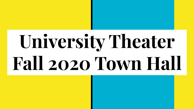# **University Theater Fall 2020 Town Hall**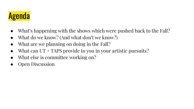

- What's happening with the shows which were pushed back to the Fall?
- What do we know? (And what don't we know?)
- What are we planning on doing in the Fall?
- What can  $UT + TAPS$  provide to you in your artistic pursuits?
- What else is committee working on?
- Open Discussion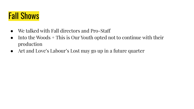# Fall Shows

- We talked with Fall directors and Pro-Staff
- $\bullet$  Into the Woods + This is Our Youth opted not to continue with their production
- Art and Love's Labour's Lost may go up in a future quarter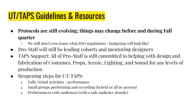### UT/TAPS Guidelines & Resources

- **● Protocols are still evolving; things may change before and during Fall quarter**
	- We still don't even know what RSO regulations / budgeting will look like!
- Pro-Staff will still be leading cohorts and mentoring designers
- TAPS Support: All of Pro-Staff is still committed to helping with design and fabrication of Costumes, Props, Scenic, Lighting, and Sound for any levels of production
- Reopening steps for UT/TAPS:
	- 1. Fully virtual activities / performance
	- 2. Small groups performing and recording (hybrid or all in-person)
	- 3. Performances with audiences (with a safe audience density)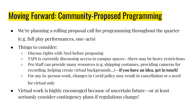# Moving Forward: Community-Proposed Programming

- We're planning a rolling proposal call for programming throughout the quarter (e.g. full play performances, one-acts)
- Things to consider:
	- Discuss rights with Neel before proposing
	- TAPS is currently discussing access to campus spaces--there may be heavy restrictions
	- Pro Staff can provide many resources (e.g. shipping costumes, providing cameras for recording, helping create virtual backgrounds…)--**if you have an idea, get in touch!**
	- For any in-person work, changes in Covid policy may result in cancellation or a need for virtual only
- Virtual work is highly encouraged because of uncertain future--or at least seriously consider contingency plans if regulations change!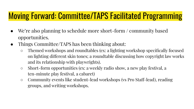#### Moving Forward: Committee/TAPS Facilitated Programming

- We're also planning to schedule more short-form / community based opportunities.
- Things Committee/TAPS has been thinking about:
	- Themed workshops and roundtables (ex: a lighting workshop specifically focused on lighting different skin tones; a roundtable discussing how copyright law works and its relationship with playwrights).
	- Short-form opportunities (ex: a weekly radio show, a new play festival, a ten-minute play festival, a cabaret)
	- Community events like student-lead workshops (vs Pro Staff-lead), reading groups, and writing workshops.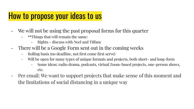#### How to propose your ideas to us

- We will not be using the past proposal forms for this quarter
	- \*\*Things that will remain the same:
		- Rights discuss with Neel and Tiffany
- There will be a Google Form sent out in the coming weeks
	- Rolling basis (no deadline, not first come first serve)
	- Will be open for many types of unique formats and projects, both short- and long-form
		- Some ideas: radio drama, podcasts, virtual Zoom-based projects, one-person shows, etc.
- Per email: We want to support projects that make sense of this moment and the limitations of social distancing in a unique way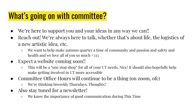# What's going on with committee?

- We're here to support you and your ideas in any way we can!!
- Reach out! We're always here to talk, whether that's about life, the logistics of a new artistic idea, etc.
	- We want to help make autumn quarter a time of community and passion and safety and health and we love all of you so much <333
- Expect a website coming soon!!
	- This will be a "one stop shop" for all of your UT needs. Nice! It should also hopefully help make getting involved in UT more accessible
- Committee Office Hours will continue to be a thing (on zoom, ofc)
	- We're thinking biweekly Thursdays. Thoughts?
- Also stay tuned for a newsletter!
	- We know the importance of good communication during This Time